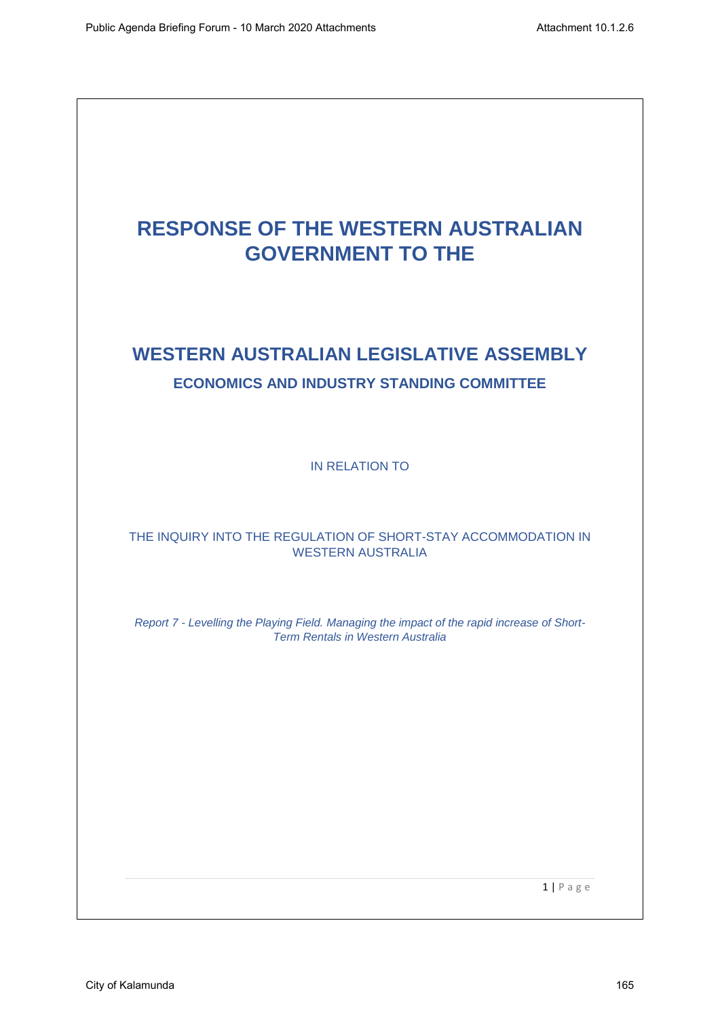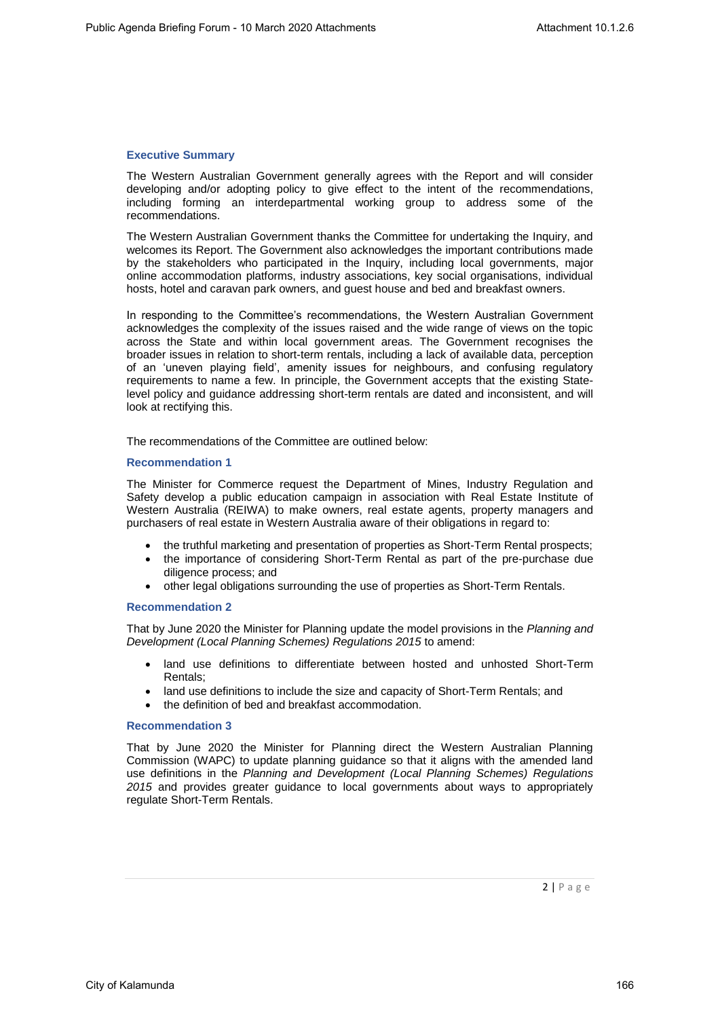# **Executive Summary**

The Western Australian Government generally agrees with the Report and will consider developing and/or adopting policy to give effect to the intent of the recommendations, including forming an interdepartmental working group to address some of the recommendations.

The Western Australian Government thanks the Committee for undertaking the Inquiry, and welcomes its Report. The Government also acknowledges the important contributions made by the stakeholders who participated in the Inquiry, including local governments, major online accommodation platforms, industry associations, key social organisations, individual hosts, hotel and caravan park owners, and guest house and bed and breakfast owners.

In responding to the Committee's recommendations, the Western Australian Government acknowledges the complexity of the issues raised and the wide range of views on the topic across the State and within local government areas. The Government recognises the broader issues in relation to short-term rentals, including a lack of available data, perception of an 'uneven playing field', amenity issues for neighbours, and confusing regulatory requirements to name a few. In principle, the Government accepts that the existing Statelevel policy and guidance addressing short-term rentals are dated and inconsistent, and will look at rectifying this.

The recommendations of the Committee are outlined below:

# **Recommendation 1**

The Minister for Commerce request the Department of Mines, Industry Regulation and Safety develop a public education campaign in association with Real Estate Institute of Western Australia (REIWA) to make owners, real estate agents, property managers and purchasers of real estate in Western Australia aware of their obligations in regard to:

- the truthful marketing and presentation of properties as Short-Term Rental prospects;
- the importance of considering Short-Term Rental as part of the pre-purchase due diligence process; and
- other legal obligations surrounding the use of properties as Short-Term Rentals.

# **Recommendation 2**

That by June 2020 the Minister for Planning update the model provisions in the *Planning and Development (Local Planning Schemes) Regulations 2015* to amend:

- land use definitions to differentiate between hosted and unhosted Short-Term Rentals;
- land use definitions to include the size and capacity of Short-Term Rentals; and
- the definition of bed and breakfast accommodation.

# **Recommendation 3**

That by June 2020 the Minister for Planning direct the Western Australian Planning Commission (WAPC) to update planning guidance so that it aligns with the amended land use definitions in the *Planning and Development (Local Planning Schemes) Regulations 2015* and provides greater guidance to local governments about ways to appropriately regulate Short-Term Rentals.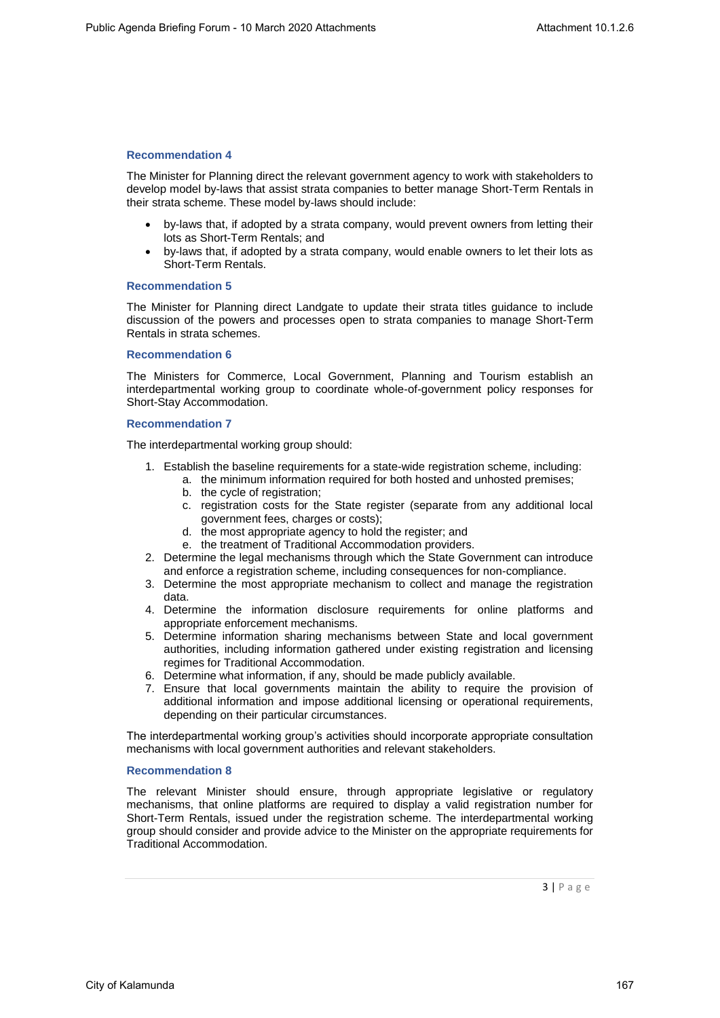The Minister for Planning direct the relevant government agency to work with stakeholders to develop model by-laws that assist strata companies to better manage Short-Term Rentals in their strata scheme. These model by-laws should include:

- by-laws that, if adopted by a strata company, would prevent owners from letting their lots as Short-Term Rentals; and
- by-laws that, if adopted by a strata company, would enable owners to let their lots as Short-Term Rentals.

# **Recommendation 5**

The Minister for Planning direct Landgate to update their strata titles guidance to include discussion of the powers and processes open to strata companies to manage Short-Term Rentals in strata schemes.

# **Recommendation 6**

The Ministers for Commerce, Local Government, Planning and Tourism establish an interdepartmental working group to coordinate whole-of-government policy responses for Short-Stay Accommodation.

# **Recommendation 7**

The interdepartmental working group should:

- 1. Establish the baseline requirements for a state-wide registration scheme, including:
	- a. the minimum information required for both hosted and unhosted premises;
		- b. the cycle of registration;
		- c. registration costs for the State register (separate from any additional local government fees, charges or costs);
		- d. the most appropriate agency to hold the register; and
		- e. the treatment of Traditional Accommodation providers.
- 2. Determine the legal mechanisms through which the State Government can introduce and enforce a registration scheme, including consequences for non-compliance.
- 3. Determine the most appropriate mechanism to collect and manage the registration data.
- 4. Determine the information disclosure requirements for online platforms and appropriate enforcement mechanisms.
- 5. Determine information sharing mechanisms between State and local government authorities, including information gathered under existing registration and licensing regimes for Traditional Accommodation.
- 6. Determine what information, if any, should be made publicly available.
- 7. Ensure that local governments maintain the ability to require the provision of additional information and impose additional licensing or operational requirements, depending on their particular circumstances.

The interdepartmental working group's activities should incorporate appropriate consultation mechanisms with local government authorities and relevant stakeholders.

#### **Recommendation 8**

The relevant Minister should ensure, through appropriate legislative or regulatory mechanisms, that online platforms are required to display a valid registration number for Short-Term Rentals, issued under the registration scheme. The interdepartmental working group should consider and provide advice to the Minister on the appropriate requirements for Traditional Accommodation.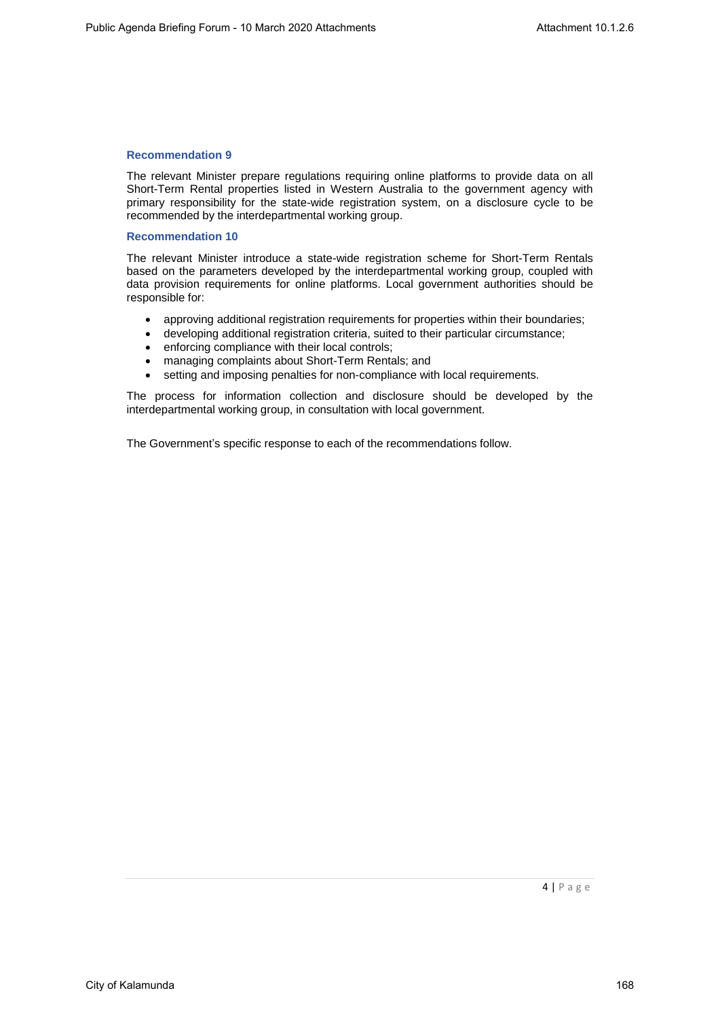The relevant Minister prepare regulations requiring online platforms to provide data on all Short-Term Rental properties listed in Western Australia to the government agency with primary responsibility for the state-wide registration system, on a disclosure cycle to be recommended by the interdepartmental working group.

# **Recommendation 10**

The relevant Minister introduce a state-wide registration scheme for Short-Term Rentals based on the parameters developed by the interdepartmental working group, coupled with data provision requirements for online platforms. Local government authorities should be responsible for:

- approving additional registration requirements for properties within their boundaries;
- developing additional registration criteria, suited to their particular circumstance;
- enforcing compliance with their local controls;
- managing complaints about Short-Term Rentals; and
- setting and imposing penalties for non-compliance with local requirements.

The process for information collection and disclosure should be developed by the interdepartmental working group, in consultation with local government.

The Government's specific response to each of the recommendations follow.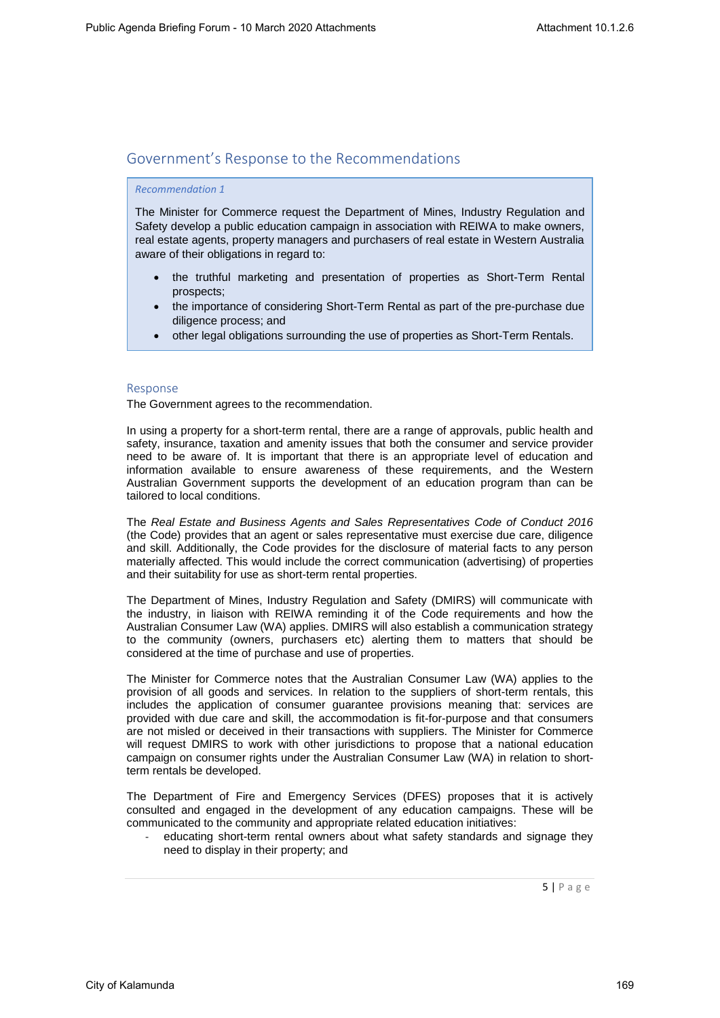# Government's Response to the Recommendations

# *Recommendation 1*

The Minister for Commerce request the Department of Mines, Industry Regulation and Safety develop a public education campaign in association with REIWA to make owners, real estate agents, property managers and purchasers of real estate in Western Australia aware of their obligations in regard to:

- the truthful marketing and presentation of properties as Short-Term Rental prospects;
- the importance of considering Short-Term Rental as part of the pre-purchase due diligence process; and
- other legal obligations surrounding the use of properties as Short-Term Rentals.

# Response

The Government agrees to the recommendation.

In using a property for a short-term rental, there are a range of approvals, public health and safety, insurance, taxation and amenity issues that both the consumer and service provider need to be aware of. It is important that there is an appropriate level of education and information available to ensure awareness of these requirements, and the Western Australian Government supports the development of an education program than can be tailored to local conditions.

The *Real Estate and Business Agents and Sales Representatives Code of Conduct 2016* (the Code) provides that an agent or sales representative must exercise due care, diligence and skill. Additionally, the Code provides for the disclosure of material facts to any person materially affected. This would include the correct communication (advertising) of properties and their suitability for use as short-term rental properties.

The Department of Mines, Industry Regulation and Safety (DMIRS) will communicate with the industry, in liaison with REIWA reminding it of the Code requirements and how the Australian Consumer Law (WA) applies. DMIRS will also establish a communication strategy to the community (owners, purchasers etc) alerting them to matters that should be considered at the time of purchase and use of properties.

The Minister for Commerce notes that the Australian Consumer Law (WA) applies to the provision of all goods and services. In relation to the suppliers of short-term rentals, this includes the application of consumer guarantee provisions meaning that: services are provided with due care and skill, the accommodation is fit-for-purpose and that consumers are not misled or deceived in their transactions with suppliers. The Minister for Commerce will request DMIRS to work with other jurisdictions to propose that a national education campaign on consumer rights under the Australian Consumer Law (WA) in relation to shortterm rentals be developed.

The Department of Fire and Emergency Services (DFES) proposes that it is actively consulted and engaged in the development of any education campaigns. These will be communicated to the community and appropriate related education initiatives:

educating short-term rental owners about what safety standards and signage they need to display in their property; and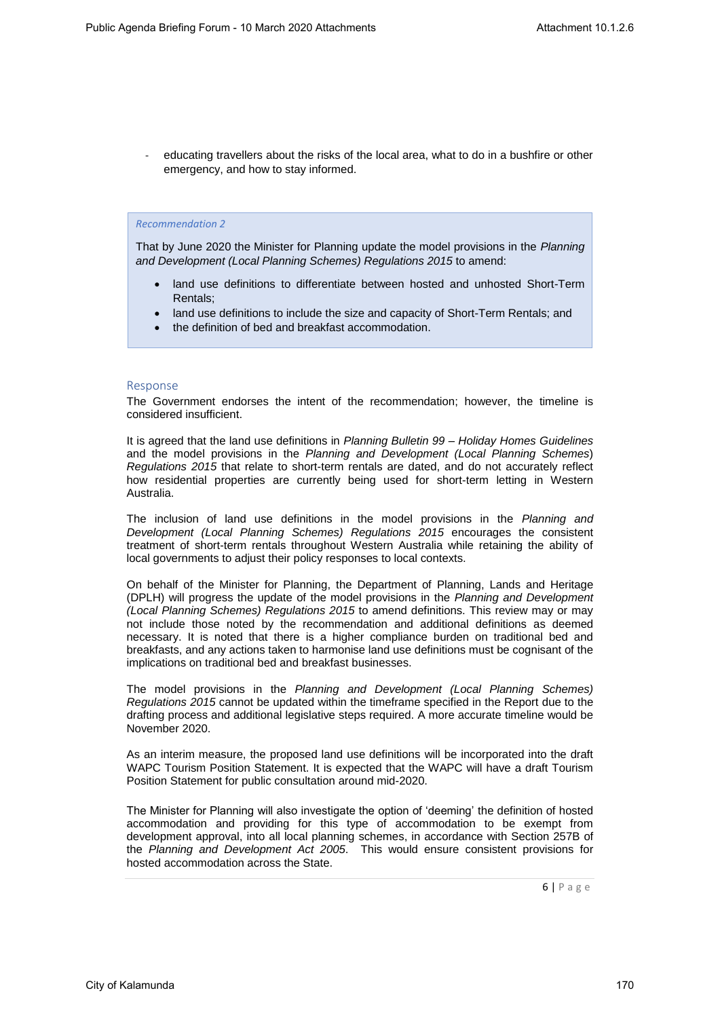- educating travellers about the risks of the local area, what to do in a bushfire or other emergency, and how to stay informed.

# *Recommendation 2*

That by June 2020 the Minister for Planning update the model provisions in the *Planning and Development (Local Planning Schemes) Regulations 2015* to amend:

- land use definitions to differentiate between hosted and unhosted Short-Term Rentals;
- land use definitions to include the size and capacity of Short-Term Rentals; and
- the definition of bed and breakfast accommodation.

# Response

The Government endorses the intent of the recommendation; however, the timeline is considered insufficient.

It is agreed that the land use definitions in *Planning Bulletin 99 – Holiday Homes Guidelines* and the model provisions in the *Planning and Development (Local Planning Schemes*) *Regulations 2015* that relate to short-term rentals are dated, and do not accurately reflect how residential properties are currently being used for short-term letting in Western Australia.

The inclusion of land use definitions in the model provisions in the *Planning and Development (Local Planning Schemes) Regulations 2015* encourages the consistent treatment of short-term rentals throughout Western Australia while retaining the ability of local governments to adjust their policy responses to local contexts.

On behalf of the Minister for Planning, the Department of Planning, Lands and Heritage (DPLH) will progress the update of the model provisions in the *Planning and Development (Local Planning Schemes) Regulations 2015* to amend definitions. This review may or may not include those noted by the recommendation and additional definitions as deemed necessary. It is noted that there is a higher compliance burden on traditional bed and breakfasts, and any actions taken to harmonise land use definitions must be cognisant of the implications on traditional bed and breakfast businesses.

The model provisions in the *Planning and Development (Local Planning Schemes) Regulations 2015* cannot be updated within the timeframe specified in the Report due to the drafting process and additional legislative steps required. A more accurate timeline would be November 2020.

As an interim measure, the proposed land use definitions will be incorporated into the draft WAPC Tourism Position Statement. It is expected that the WAPC will have a draft Tourism Position Statement for public consultation around mid-2020.

The Minister for Planning will also investigate the option of 'deeming' the definition of hosted accommodation and providing for this type of accommodation to be exempt from development approval, into all local planning schemes, in accordance with Section 257B of the *Planning and Development Act 2005*. This would ensure consistent provisions for hosted accommodation across the State.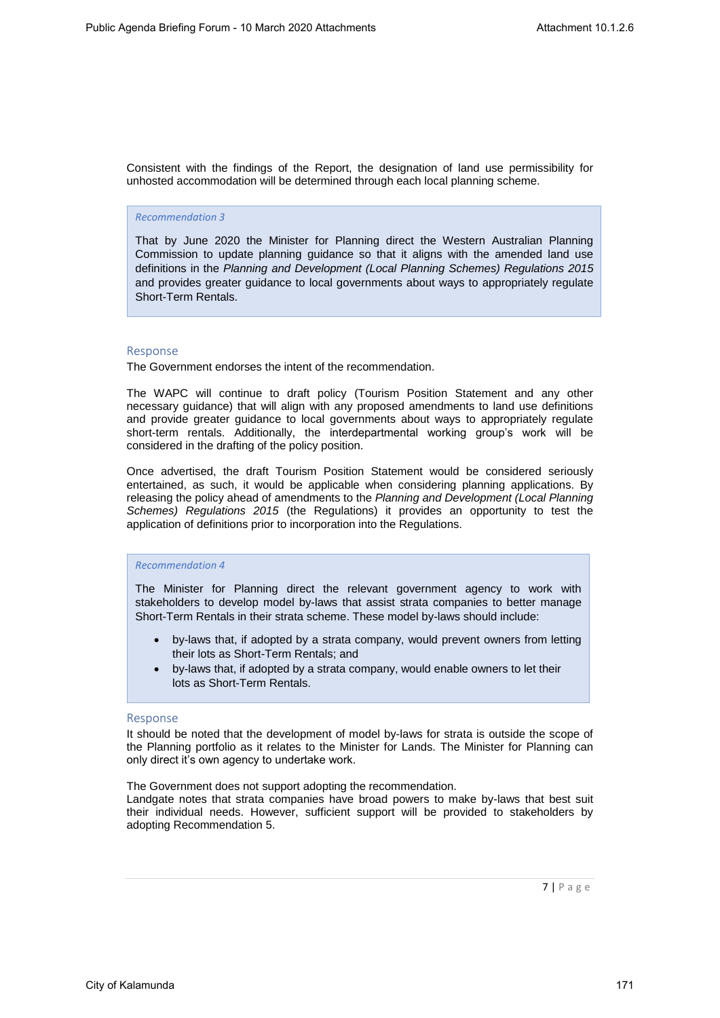Consistent with the findings of the Report, the designation of land use permissibility for unhosted accommodation will be determined through each local planning scheme.

#### *Recommendation 3*

That by June 2020 the Minister for Planning direct the Western Australian Planning Commission to update planning guidance so that it aligns with the amended land use definitions in the *Planning and Development (Local Planning Schemes) Regulations 2015*  and provides greater guidance to local governments about ways to appropriately regulate Short-Term Rentals.

#### Response

The Government endorses the intent of the recommendation.

The WAPC will continue to draft policy (Tourism Position Statement and any other necessary guidance) that will align with any proposed amendments to land use definitions and provide greater guidance to local governments about ways to appropriately regulate short-term rentals. Additionally, the interdepartmental working group's work will be considered in the drafting of the policy position.

Once advertised, the draft Tourism Position Statement would be considered seriously entertained, as such, it would be applicable when considering planning applications. By releasing the policy ahead of amendments to the *Planning and Development (Local Planning Schemes) Regulations 2015* (the Regulations) it provides an opportunity to test the application of definitions prior to incorporation into the Regulations.

# *Recommendation 4*

The Minister for Planning direct the relevant government agency to work with stakeholders to develop model by-laws that assist strata companies to better manage Short-Term Rentals in their strata scheme. These model by-laws should include:

- by-laws that, if adopted by a strata company, would prevent owners from letting their lots as Short-Term Rentals; and
- by-laws that, if adopted by a strata company, would enable owners to let their lots as Short-Term Rentals.

#### Response

It should be noted that the development of model by-laws for strata is outside the scope of the Planning portfolio as it relates to the Minister for Lands. The Minister for Planning can only direct it's own agency to undertake work.

The Government does not support adopting the recommendation.

Landgate notes that strata companies have broad powers to make by-laws that best suit their individual needs. However, sufficient support will be provided to stakeholders by adopting Recommendation 5.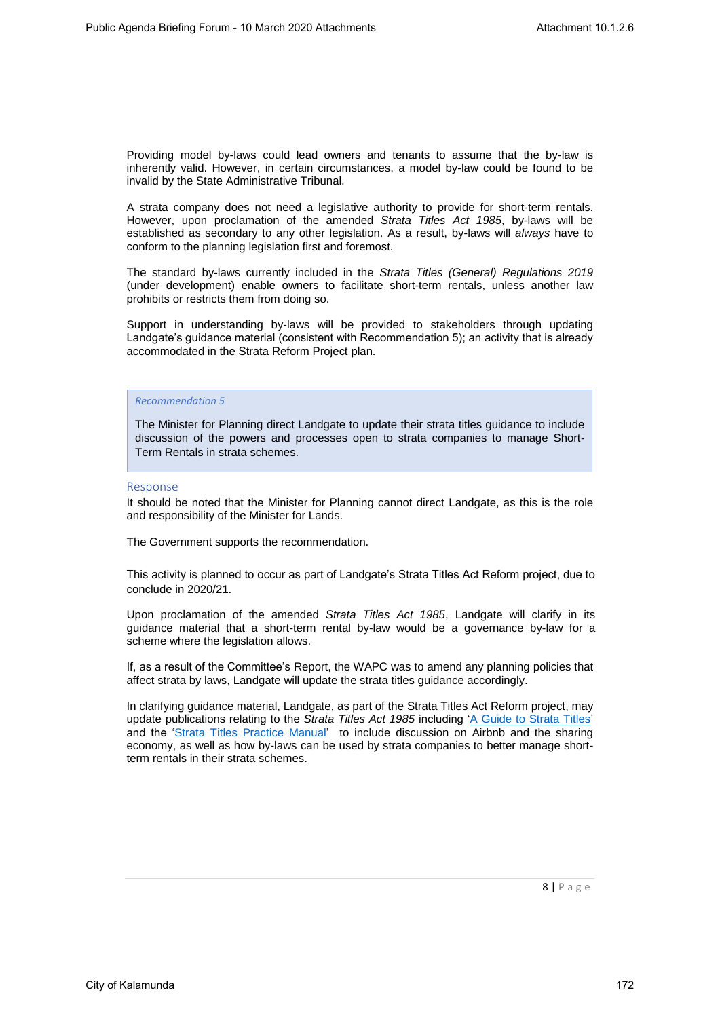Providing model by-laws could lead owners and tenants to assume that the by-law is inherently valid. However, in certain circumstances, a model by-law could be found to be invalid by the State Administrative Tribunal.

A strata company does not need a legislative authority to provide for short-term rentals. However, upon proclamation of the amended *Strata Titles Act 1985*, by-laws will be established as secondary to any other legislation. As a result, by-laws will *always* have to conform to the planning legislation first and foremost.

The standard by-laws currently included in the *Strata Titles (General) Regulations 2019* (under development) enable owners to facilitate short-term rentals, unless another law prohibits or restricts them from doing so.

Support in understanding by-laws will be provided to stakeholders through updating Landgate's guidance material (consistent with Recommendation 5); an activity that is already accommodated in the Strata Reform Project plan.

# *Recommendation 5*

The Minister for Planning direct Landgate to update their strata titles guidance to include discussion of the powers and processes open to strata companies to manage Short-Term Rentals in strata schemes.

#### Response

It should be noted that the Minister for Planning cannot direct Landgate, as this is the role and responsibility of the Minister for Lands.

The Government supports the recommendation.

This activity is planned to occur as part of Landgate's Strata Titles Act Reform project, due to conclude in 2020/21.

Upon proclamation of the amended *Strata Titles Act 1985*, Landgate will clarify in its guidance material that a short-term rental by-law would be a governance by-law for a scheme where the legislation allows.

If, as a result of the Committee's Report, the WAPC was to amend any planning policies that affect strata by laws, Landgate will update the strata titles guidance accordingly.

In clarifying guidance material, Landgate, as part of the Strata Titles Act Reform project, may update publications relating to the *Strata Titles Act 1985* including 'A Guide to Strata Titles' and the 'Strata Titles Practice Manual' to include discussion on Airbnb and the sharing economy, as well as how by-laws can be used by strata companies to better manage shortterm rentals in their strata schemes.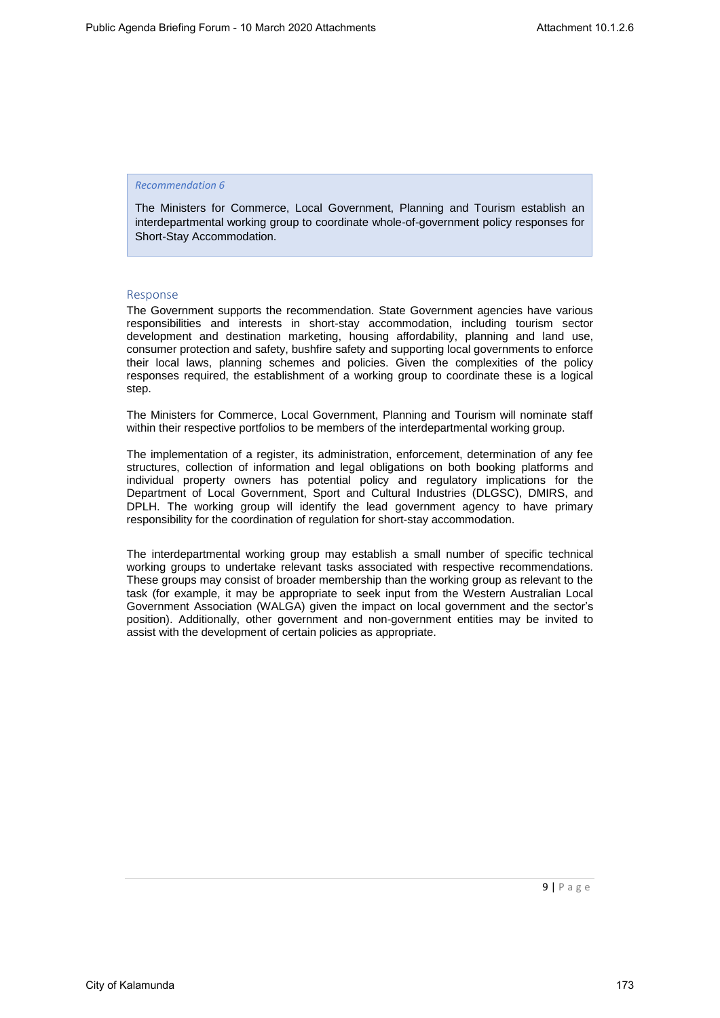The Ministers for Commerce, Local Government, Planning and Tourism establish an interdepartmental working group to coordinate whole-of-government policy responses for Short-Stay Accommodation.

# Response

The Government supports the recommendation. State Government agencies have various responsibilities and interests in short-stay accommodation, including tourism sector development and destination marketing, housing affordability, planning and land use, consumer protection and safety, bushfire safety and supporting local governments to enforce their local laws, planning schemes and policies. Given the complexities of the policy responses required, the establishment of a working group to coordinate these is a logical step.

The Ministers for Commerce, Local Government, Planning and Tourism will nominate staff within their respective portfolios to be members of the interdepartmental working group.

The implementation of a register, its administration, enforcement, determination of any fee structures, collection of information and legal obligations on both booking platforms and individual property owners has potential policy and regulatory implications for the Department of Local Government, Sport and Cultural Industries (DLGSC), DMIRS, and DPLH. The working group will identify the lead government agency to have primary responsibility for the coordination of regulation for short-stay accommodation.

The interdepartmental working group may establish a small number of specific technical working groups to undertake relevant tasks associated with respective recommendations. These groups may consist of broader membership than the working group as relevant to the task (for example, it may be appropriate to seek input from the Western Australian Local Government Association (WALGA) given the impact on local government and the sector's position). Additionally, other government and non-government entities may be invited to assist with the development of certain policies as appropriate.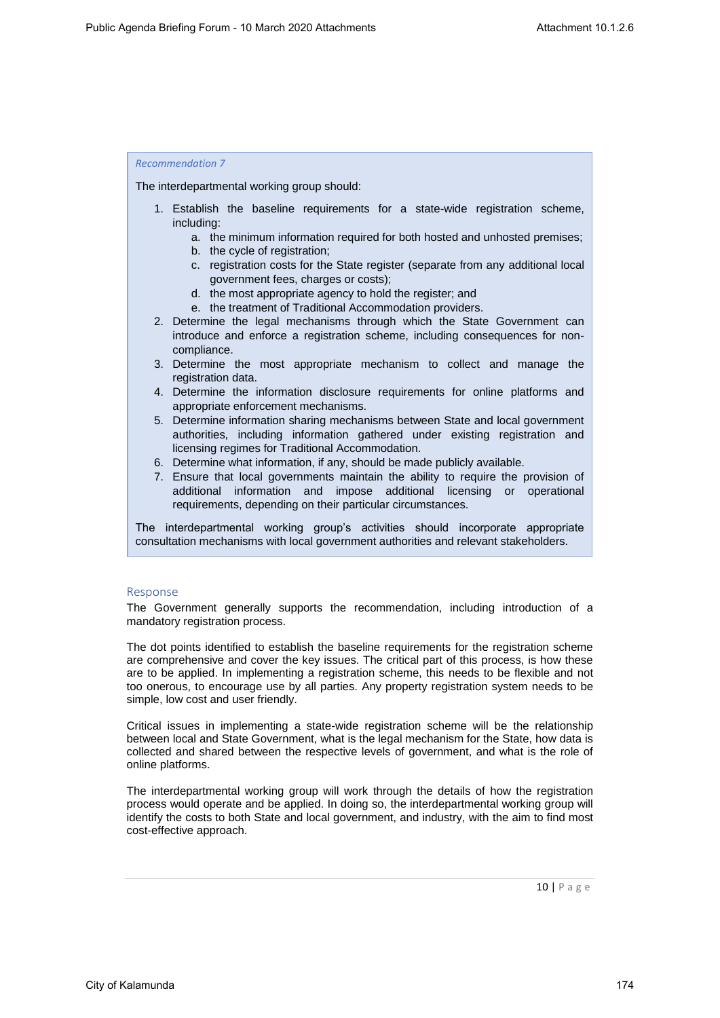The interdepartmental working group should:

- 1. Establish the baseline requirements for a state-wide registration scheme, including:
	- a. the minimum information required for both hosted and unhosted premises;
	- b. the cycle of registration;
	- c. registration costs for the State register (separate from any additional local government fees, charges or costs);
	- d. the most appropriate agency to hold the register; and
	- e. the treatment of Traditional Accommodation providers.
- 2. Determine the legal mechanisms through which the State Government can introduce and enforce a registration scheme, including consequences for noncompliance.
- 3. Determine the most appropriate mechanism to collect and manage the registration data.
- 4. Determine the information disclosure requirements for online platforms and appropriate enforcement mechanisms.
- 5. Determine information sharing mechanisms between State and local government authorities, including information gathered under existing registration and licensing regimes for Traditional Accommodation.
- 6. Determine what information, if any, should be made publicly available.
- 7. Ensure that local governments maintain the ability to require the provision of additional information and impose additional licensing or operational requirements, depending on their particular circumstances.

The interdepartmental working group's activities should incorporate appropriate consultation mechanisms with local government authorities and relevant stakeholders.

# Response

The Government generally supports the recommendation, including introduction of a mandatory registration process.

The dot points identified to establish the baseline requirements for the registration scheme are comprehensive and cover the key issues. The critical part of this process, is how these are to be applied. In implementing a registration scheme, this needs to be flexible and not too onerous, to encourage use by all parties. Any property registration system needs to be simple, low cost and user friendly.

Critical issues in implementing a state-wide registration scheme will be the relationship between local and State Government, what is the legal mechanism for the State, how data is collected and shared between the respective levels of government, and what is the role of online platforms.

The interdepartmental working group will work through the details of how the registration process would operate and be applied. In doing so, the interdepartmental working group will identify the costs to both State and local government, and industry, with the aim to find most cost-effective approach.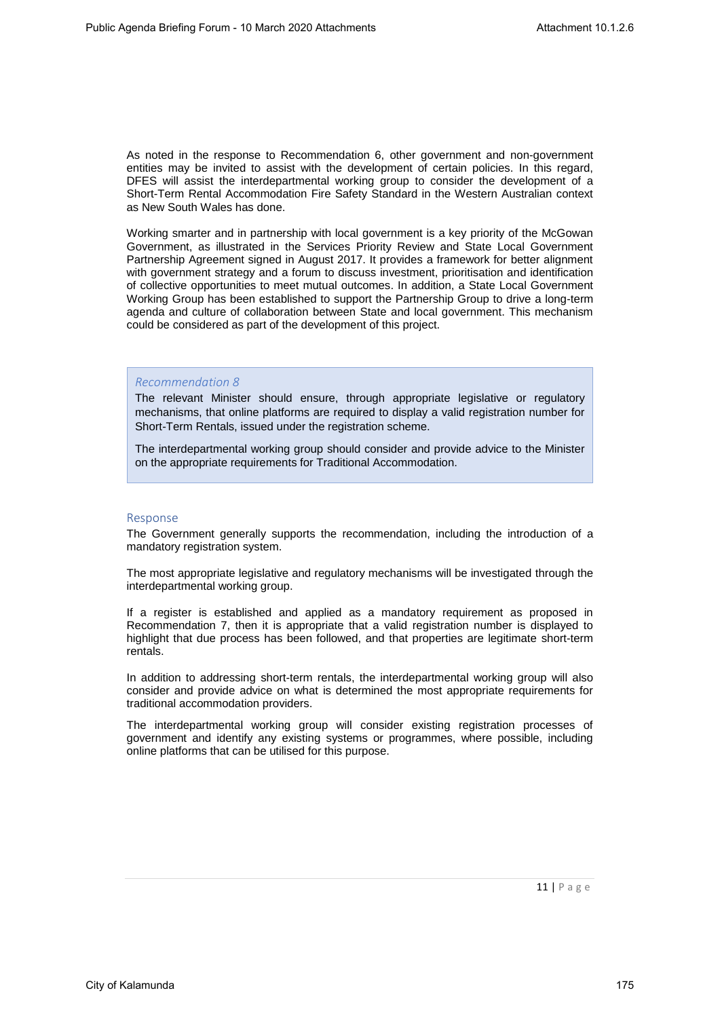As noted in the response to Recommendation 6, other government and non-government entities may be invited to assist with the development of certain policies. In this regard, DFES will assist the interdepartmental working group to consider the development of a Short-Term Rental Accommodation Fire Safety Standard in the Western Australian context as New South Wales has done.

Working smarter and in partnership with local government is a key priority of the McGowan Government, as illustrated in the Services Priority Review and State Local Government Partnership Agreement signed in August 2017. It provides a framework for better alignment with government strategy and a forum to discuss investment, prioritisation and identification of collective opportunities to meet mutual outcomes. In addition, a State Local Government Working Group has been established to support the Partnership Group to drive a long-term agenda and culture of collaboration between State and local government. This mechanism could be considered as part of the development of this project.

# *Recommendation 8*

The relevant Minister should ensure, through appropriate legislative or regulatory mechanisms, that online platforms are required to display a valid registration number for Short-Term Rentals, issued under the registration scheme.

The interdepartmental working group should consider and provide advice to the Minister on the appropriate requirements for Traditional Accommodation.

#### Response

The Government generally supports the recommendation, including the introduction of a mandatory registration system.

The most appropriate legislative and regulatory mechanisms will be investigated through the interdepartmental working group.

If a register is established and applied as a mandatory requirement as proposed in Recommendation 7, then it is appropriate that a valid registration number is displayed to highlight that due process has been followed, and that properties are legitimate short-term rentals.

In addition to addressing short-term rentals, the interdepartmental working group will also consider and provide advice on what is determined the most appropriate requirements for traditional accommodation providers.

The interdepartmental working group will consider existing registration processes of government and identify any existing systems or programmes, where possible, including online platforms that can be utilised for this purpose.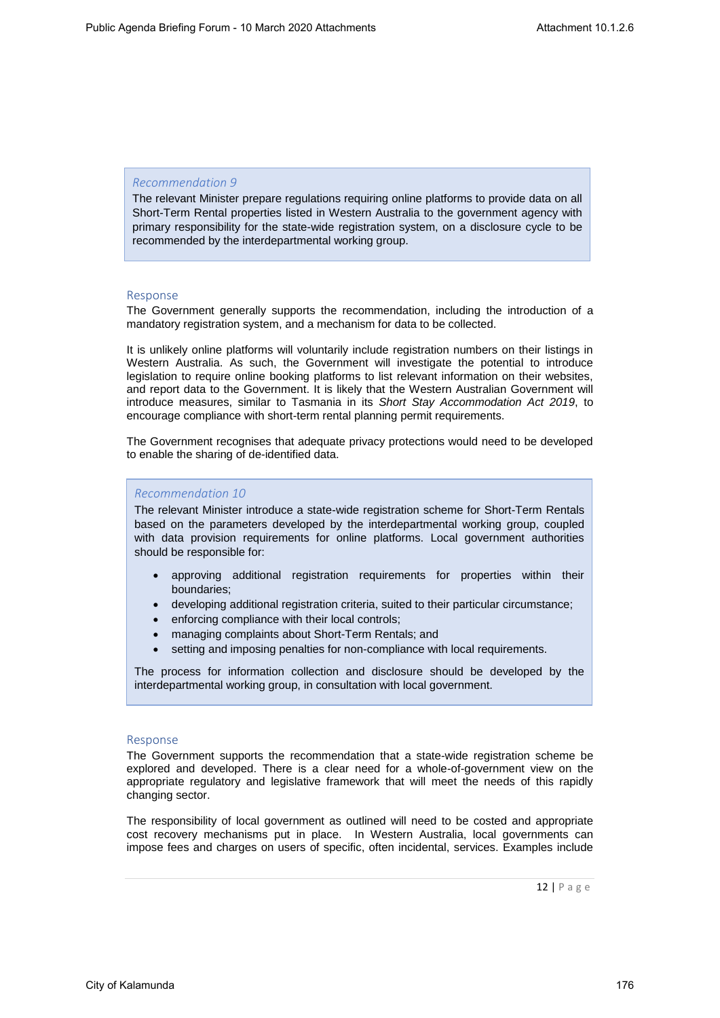The relevant Minister prepare regulations requiring online platforms to provide data on all Short-Term Rental properties listed in Western Australia to the government agency with primary responsibility for the state-wide registration system, on a disclosure cycle to be recommended by the interdepartmental working group.

# Response

The Government generally supports the recommendation, including the introduction of a mandatory registration system, and a mechanism for data to be collected.

It is unlikely online platforms will voluntarily include registration numbers on their listings in Western Australia. As such, the Government will investigate the potential to introduce legislation to require online booking platforms to list relevant information on their websites, and report data to the Government. It is likely that the Western Australian Government will introduce measures, similar to Tasmania in its *Short Stay Accommodation Act 2019*, to encourage compliance with short-term rental planning permit requirements.

The Government recognises that adequate privacy protections would need to be developed to enable the sharing of de-identified data.

# *Recommendation 10*

The relevant Minister introduce a state-wide registration scheme for Short-Term Rentals based on the parameters developed by the interdepartmental working group, coupled with data provision requirements for online platforms. Local government authorities should be responsible for:

- approving additional registration requirements for properties within their boundaries;
- developing additional registration criteria, suited to their particular circumstance;
- enforcing compliance with their local controls;
- managing complaints about Short-Term Rentals; and
- setting and imposing penalties for non-compliance with local requirements.

The process for information collection and disclosure should be developed by the interdepartmental working group, in consultation with local government.

# Response

The Government supports the recommendation that a state-wide registration scheme be explored and developed. There is a clear need for a whole-of-government view on the appropriate regulatory and legislative framework that will meet the needs of this rapidly changing sector.

The responsibility of local government as outlined will need to be costed and appropriate cost recovery mechanisms put in place. In Western Australia, local governments can impose fees and charges on users of specific, often incidental, services. Examples include